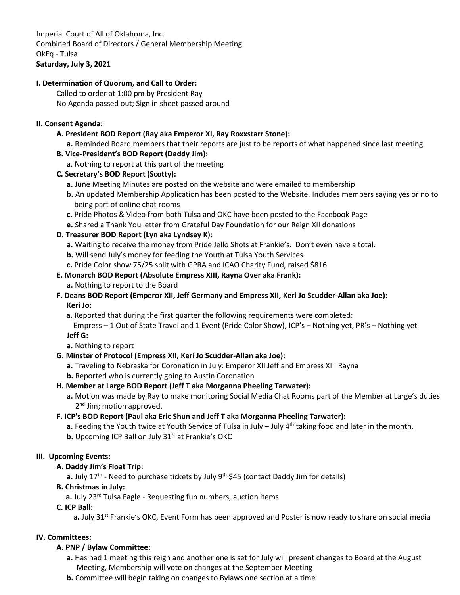Imperial Court of All of Oklahoma, Inc. Combined Board of Directors / General Membership Meeting OkEq - Tulsa **Saturday, July 3, 2021**

# **I. Determination of Quorum, and Call to Order:**

Called to order at 1:00 pm by President Ray No Agenda passed out; Sign in sheet passed around

## **II. Consent Agenda:**

## **A. President BOD Report (Ray aka Emperor XI, Ray Roxxstarr Stone):**

**a.** Reminded Board members that their reports are just to be reports of what happened since last meeting

## **B. Vice-President's BOD Report (Daddy Jim):**

**a**. Nothing to report at this part of the meeting

## **C. Secretary's BOD Report (Scotty):**

- **a.** June Meeting Minutes are posted on the website and were emailed to membership
- **b.** An updated Membership Application has been posted to the Website. Includes members saying yes or no to being part of online chat rooms
- **c.** Pride Photos & Video from both Tulsa and OKC have been posted to the Facebook Page
- **e.** Shared a Thank You letter from Grateful Day Foundation for our Reign XII donations

## **D. Treasurer BOD Report (Lyn aka Lyndsey K):**

- **a.** Waiting to receive the money from Pride Jello Shots at Frankie's. Don't even have a total.
- **b.** Will send July's money for feeding the Youth at Tulsa Youth Services
- **c.** Pride Color show 75/25 split with GPRA and ICAO Charity Fund, raised \$816

# **E. Monarch BOD Report (Absolute Empress XIII, Rayna Over aka Frank):**

**a.** Nothing to report to the Board

## **F. Deans BOD Report (Emperor XII, Jeff Germany and Empress XII, Keri Jo Scudder-Allan aka Joe): Keri Jo:**

 **a.** Reported that during the first quarter the following requirements were completed:

Empress – 1 Out of State Travel and 1 Event (Pride Color Show), ICP's – Nothing yet, PR's – Nothing yet **Jeff G:**

**a.** Nothing to report

# **G. Minster of Protocol (Empress XII, Keri Jo Scudder-Allan aka Joe):**

- **a.** Traveling to Nebraska for Coronation in July: Emperor XII Jeff and Empress XIII Rayna
- **b.** Reported who is currently going to Austin Coronation

# **H. Member at Large BOD Report (Jeff T aka Morganna Pheeling Tarwater):**

**a.** Motion was made by Ray to make monitoring Social Media Chat Rooms part of the Member at Large's duties 2<sup>nd</sup> Jim; motion approved.

# **F. ICP's BOD Report (Paul aka Eric Shun and Jeff T aka Morganna Pheeling Tarwater):**

**a.** Feeding the Youth twice at Youth Service of Tulsa in July – July 4<sup>th</sup> taking food and later in the month.

**b.** Upcoming ICP Ball on July 31<sup>st</sup> at Frankie's OKC

# **III. Upcoming Events:**

# **A. Daddy Jim's Float Trip:**

a. July 17<sup>th</sup> - Need to purchase tickets by July 9<sup>th</sup> \$45 (contact Daddy Jim for details)

# **B. Christmas in July:**

**a.** July 23<sup>rd</sup> Tulsa Eagle - Requesting fun numbers, auction items

# **C. ICP Ball:**

**a.** July 31<sup>st</sup> Frankie's OKC, Event Form has been approved and Poster is now ready to share on social media

# **IV. Committees:**

# **A. PNP / Bylaw Committee:**

- **a.** Has had 1 meeting this reign and another one is set for July will present changes to Board at the August Meeting, Membership will vote on changes at the September Meeting
- **b.** Committee will begin taking on changes to Bylaws one section at a time